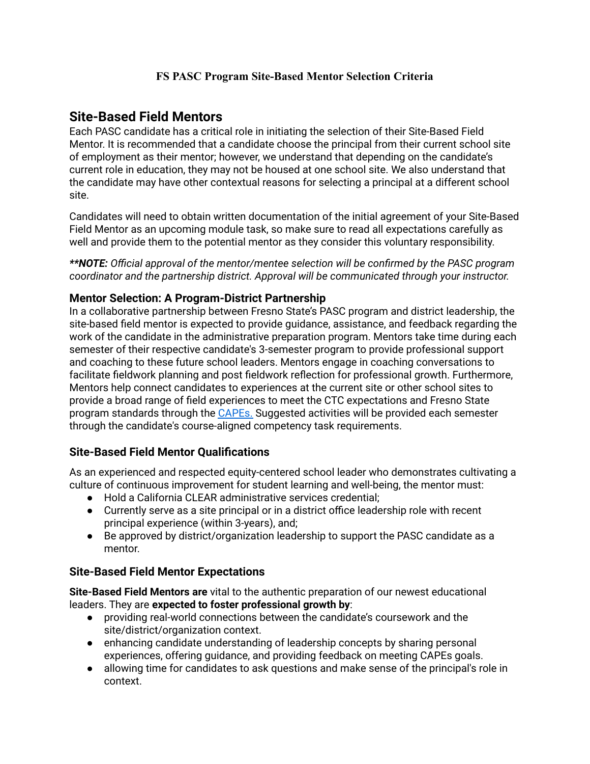### **FS PASC Program Site-Based Mentor Selection Criteria**

# **Site-Based Field Mentors**

Each PASC candidate has a critical role in initiating the selection of their Site-Based Field Mentor. It is recommended that a candidate choose the principal from their current school site of employment as their mentor; however, we understand that depending on the candidate's current role in education, they may not be housed at one school site. We also understand that the candidate may have other contextual reasons for selecting a principal at a different school site.

Candidates will need to obtain written documentation of the initial agreement of your Site-Based Field Mentor as an upcoming module task, so make sure to read all expectations carefully as well and provide them to the potential mentor as they consider this voluntary responsibility.

*\*\*NOTE: Official approval of the mentor/mentee selection will be confirmed by the PASC program coordinator and the partnership district. Approval will be communicated through your instructor.*

### **Mentor Selection: A Program-District Partnership**

In a collaborative partnership between Fresno State's PASC program and district leadership, the site-based field mentor is expected to provide guidance, assistance, and feedback regarding the work of the candidate in the administrative preparation program. Mentors take time during each semester of their respective candidate's 3-semester program to provide professional support and coaching to these future school leaders. Mentors engage in coaching conversations to facilitate fieldwork planning and post fieldwork reflection for professional growth. Furthermore, Mentors help connect candidates to experiences at the current site or other school sites to provide a broad range of field experiences to meet the CTC expectations and Fresno State program standards through the [CAPEs.](https://www.ctcexams.nesinc.com/content/docs/CAPE_Placemat.pdf) Suggested activities will be provided each semester through the candidate's course-aligned competency task requirements.

## **Site-Based Field Mentor Qualifications**

As an experienced and respected equity-centered school leader who demonstrates cultivating a culture of continuous improvement for student learning and well-being, the mentor must:

- Hold a California CLEAR administrative services credential;
- Currently serve as a site principal or in a district office leadership role with recent principal experience (within 3-years), and;
- Be approved by district/organization leadership to support the PASC candidate as a mentor.

#### **Site-Based Field Mentor Expectations**

**Site-Based Field Mentors are** vital to the authentic preparation of our newest educational leaders. They are **expected to foster professional growth by**:

- providing real-world connections between the candidate's coursework and the site/district/organization context.
- enhancing candidate understanding of leadership concepts by sharing personal experiences, offering guidance, and providing feedback on meeting CAPEs goals.
- allowing time for candidates to ask questions and make sense of the principal's role in context.